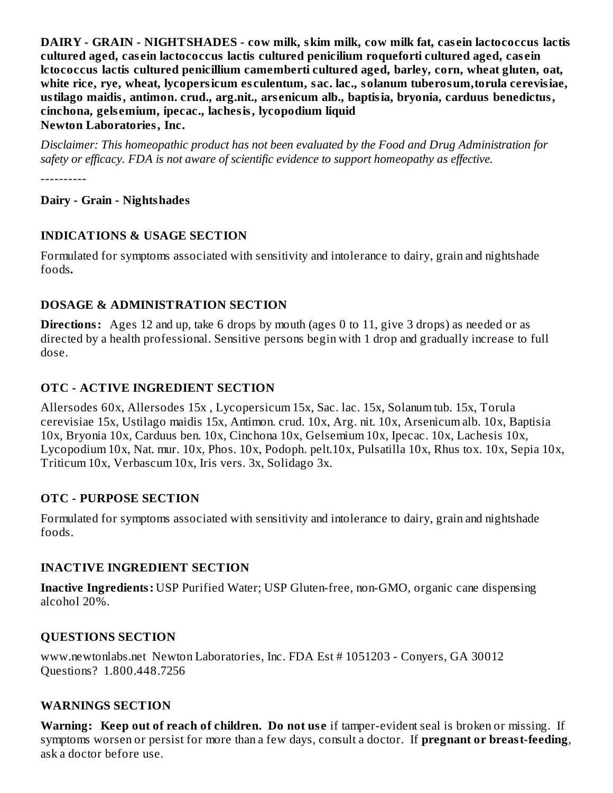**DAIRY - GRAIN - NIGHTSHADES - cow milk, skim milk, cow milk fat, cas ein lactococcus lactis cultured aged, cas ein lactococcus lactis cultured penicilium roqueforti cultured aged, cas ein lctococcus lactis cultured penicillium camemberti cultured aged, barley, corn, wheat gluten, oat, white rice, rye, wheat, lycopersicum es culentum, sac. lac., solanum tuberosum,torula cerevisiae, ustilago maidis, antimon. crud., arg.nit., ars enicum alb., baptisia, bryonia, carduus benedictus, cinchona, gels emium, ipecac., lachesis, lycopodium liquid Newton Laboratories, Inc.**

*Disclaimer: This homeopathic product has not been evaluated by the Food and Drug Administration for safety or efficacy. FDA is not aware of scientific evidence to support homeopathy as effective.*

----------

### **Dairy - Grain - Nightshades**

#### **INDICATIONS & USAGE SECTION**

Formulated for symptoms associated with sensitivity and intolerance to dairy, grain and nightshade foods*.*

#### **DOSAGE & ADMINISTRATION SECTION**

**Directions:** Ages 12 and up, take 6 drops by mouth (ages 0 to 11, give 3 drops) as needed or as directed by a health professional. Sensitive persons begin with 1 drop and gradually increase to full dose.

## **OTC - ACTIVE INGREDIENT SECTION**

Allersodes 60x, Allersodes 15x , Lycopersicum 15x, Sac. lac. 15x, Solanum tub. 15x, Torula cerevisiae 15x, Ustilago maidis 15x, Antimon. crud. 10x, Arg. nit. 10x, Arsenicum alb. 10x, Baptisia 10x, Bryonia 10x, Carduus ben. 10x, Cinchona 10x, Gelsemium 10x, Ipecac. 10x, Lachesis 10x, Lycopodium 10x, Nat. mur. 10x, Phos. 10x, Podoph. pelt.10x, Pulsatilla 10x, Rhus tox. 10x, Sepia 10x, Triticum 10x, Verbascum 10x, Iris vers. 3x, Solidago 3x.

#### **OTC - PURPOSE SECTION**

Formulated for symptoms associated with sensitivity and intolerance to dairy, grain and nightshade foods.

#### **INACTIVE INGREDIENT SECTION**

**Inactive Ingredients:** USP Purified Water; USP Gluten-free, non-GMO, organic cane dispensing alcohol 20%.

## **QUESTIONS SECTION**

www.newtonlabs.net Newton Laboratories, Inc. FDA Est # 1051203 - Conyers, GA 30012 Questions? 1.800.448.7256

#### **WARNINGS SECTION**

**Warning: Keep out of reach of children. Do not us e** if tamper-evident seal is broken or missing. If symptoms worsen or persist for more than a few days, consult a doctor. If **pregnant or breast-feeding**, ask a doctor before use.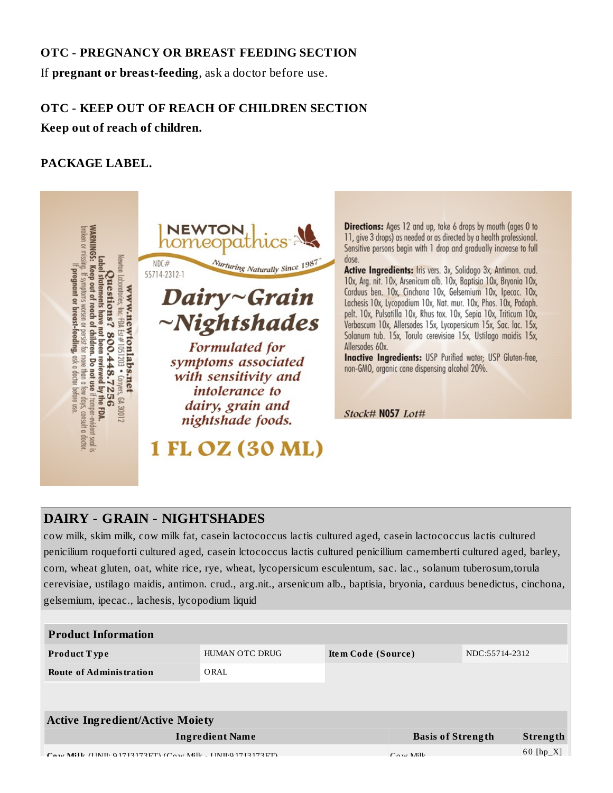### **OTC - PREGNANCY OR BREAST FEEDING SECTION**

If **pregnant or breast-feeding**, ask a doctor before use.

## **OTC - KEEP OUT OF REACH OF CHILDREN SECTION**

**Keep out of reach of children.**

## **PACKAGE LABEL.**



**Directions:** Ages 12 and up, take 6 drops by mouth (ages 0 to 11, give 3 drops) as needed or as directed by a health professional. Sensitive persons begin with 1 drop and gradually increase to full dose.

Active Ingredients: Iris vers. 3x, Solidago 3x, Antimon. crud. 10x, Arg. nit. 10x, Arsenicum alb. 10x, Baptisia 10x, Bryonia 10x, Carduus ben. 10x, Cinchona 10x, Gelsemium 10x, Ipecac. 10x, Lachesis 10x, Lycopodium 10x, Nat. mur. 10x, Phos. 10x, Podoph. pelt. 10x, Pulsatilla 10x, Rhus tox. 10x, Sepia 10x, Triticum 10x, Verbascum 10x, Allersodes 15x, Lycopersicum 15x, Sac. lac. 15x, Solanum tub. 15x, Torula cerevisiae 15x, Ustilago maidis 15x, Allersodes 60x.

Inactive Ingredients: USP Purified water; USP Gluten-free, non-GMO, organic cane dispensing alcohol 20%.

Stock# N057 Lot#

## **DAIRY - GRAIN - NIGHTSHADES**

cow milk, skim milk, cow milk fat, casein lactococcus lactis cultured aged, casein lactococcus lactis cultured penicilium roqueforti cultured aged, casein lctococcus lactis cultured penicillium camemberti cultured aged, barley, corn, wheat gluten, oat, white rice, rye, wheat, lycopersicum esculentum, sac. lac., solanum tuberosum,torula cerevisiae, ustilago maidis, antimon. crud., arg.nit., arsenicum alb., baptisia, bryonia, carduus benedictus, cinchona, gelsemium, ipecac., lachesis, lycopodium liquid

| <b>Product Information</b>                                                                            |                |                    |                          |                |             |
|-------------------------------------------------------------------------------------------------------|----------------|--------------------|--------------------------|----------------|-------------|
| <b>Product Type</b>                                                                                   | HUMAN OTC DRUG | Item Code (Source) |                          | NDC:55714-2312 |             |
| <b>Route of Administration</b>                                                                        | ORAL           |                    |                          |                |             |
|                                                                                                       |                |                    |                          |                |             |
| <b>Active Ingredient/Active Moiety</b>                                                                |                |                    |                          |                |             |
| <b>Ingredient Name</b>                                                                                |                |                    | <b>Basis of Strength</b> |                | Strength    |
| $C_{\alpha\beta\gamma\delta}$ Mill (HMH, 0.1719179ET) $(C_{\alpha\gamma\delta}$ Mill HMH.0.1719179ET) |                |                    | $C_{\text{max}}$ Mill.   |                | $60$ [hp_X] |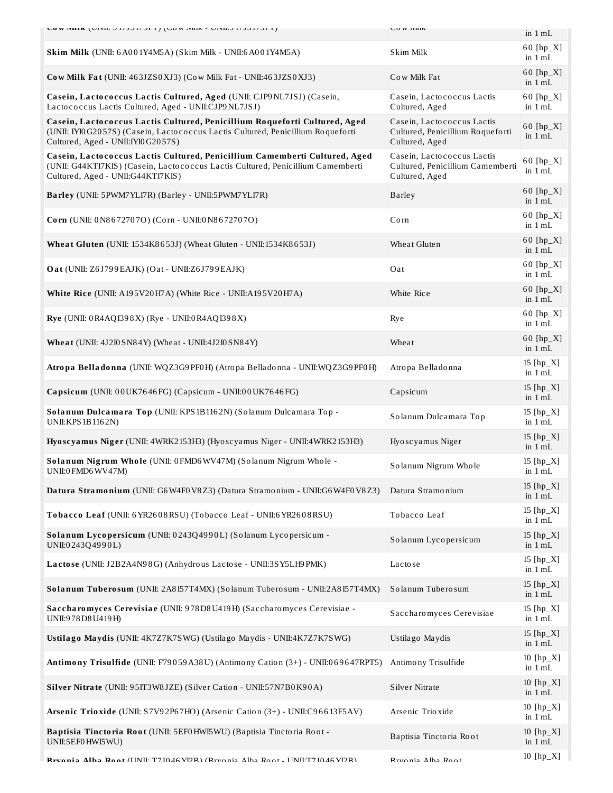| <b>LUW IVIIIA</b> (UIVII, JI/JJI/JEI) (LUW IVIIIA - UIVII, JI/JJI/JEI)                                                                                                                                | <b>LUW IVILIA</b>                                                                |                          |
|-------------------------------------------------------------------------------------------------------------------------------------------------------------------------------------------------------|----------------------------------------------------------------------------------|--------------------------|
|                                                                                                                                                                                                       |                                                                                  | in $1 mL$                |
| Skim Milk (UNII: 6A001Y4M5A) (Skim Milk - UNII:6A001Y4M5A)                                                                                                                                            | Skim Milk                                                                        | 60 $[hp_X]$<br>in $1 mL$ |
| Cow Milk Fat (UNII: 463JZS0XJ3) (Cow Milk Fat - UNII: 463JZS0XJ3)                                                                                                                                     | Cow Milk Fat                                                                     | 60 $[hp_X]$<br>in $1 mL$ |
| Casein, Lactococcus Lactis Cultured, Aged (UNII: CJP9NL7JSJ) (Casein,<br>Lactococcus Lactis Cultured, Aged - UNII: CJP9 NL7JSJ)                                                                       | Casein, Lactococcus Lactis<br>Cultured, Aged                                     | $60$ [hp_X]<br>in $1 mL$ |
| Casein, Lactococcus Lactis Cultured, Penicillium Roqueforti Cultured, Aged<br>(UNII: IYI0 G2057S) (Casein, Lactococcus Lactis Cultured, Penicillium Roqueforti<br>Cultured, Aged - UNII: IYI0 G2057S) | Casein, Lactococcus Lactis<br>Cultured, Penicillium Roqueforti<br>Cultured, Aged | 60 [hp_X]<br>in $1 mL$   |
| Casein, Lactococcus Lactis Cultured, Penicillium Camemberti Cultured, Aged<br>(UNII: G44KTI7KIS) (Casein, Lactococcus Lactis Cultured, Penicillium Camemberti<br>Cultured, Aged - UNII:G44KTI7KIS)    | Casein, Lactococcus Lactis<br>Cultured, Penicillium Camemberti<br>Cultured, Aged | 60 [hp_X]<br>in 1 mL     |
| Barley (UNII: 5PWM7YLI7R) (Barley - UNII:5PWM7YLI7R)                                                                                                                                                  | <b>Barley</b>                                                                    | 60 $[hp_X]$<br>in $1 mL$ |
| Corn (UNII: 0N8672707O) (Corn - UNII:0N8672707O)                                                                                                                                                      | Corn                                                                             | 60 [hp_X]<br>in $1 mL$   |
| Wheat Gluten (UNII: 1534K8653J) (Wheat Gluten - UNII:1534K8653J)                                                                                                                                      | Wheat Gluten                                                                     | $60$ [hp_X]<br>in $1 mL$ |
| Oat (UNII: Z6J799EAJK) (Oat - UNII:Z6J799EAJK)                                                                                                                                                        | Oat                                                                              | $60$ [hp_X]<br>in $1 mL$ |
| White Rice (UNII: A195V20H7A) (White Rice - UNII:A195V20H7A)                                                                                                                                          | White Rice                                                                       | 60 $[hp_X]$<br>in $1 mL$ |
| Rye (UNII: 0R4AQI398X) (Rye - UNII:0R4AQI398X)                                                                                                                                                        | Rye                                                                              | $60$ [hp_X]<br>in $1 mL$ |
| <b>Wheat</b> (UNII: 4J2I0 SN84Y) (Wheat - UNII:4J2I0 SN84Y)                                                                                                                                           | Wheat                                                                            | 60 $[hp_X]$<br>in $1 mL$ |
| Atropa Belladonna (UNII: WQZ3G9PF0H) (Atropa Belladonna - UNII: WQZ3G9PF0H)                                                                                                                           | Atropa Belladonna                                                                | 15 $[hp_X]$<br>in $1 mL$ |
| Capsicum (UNII: 00UK7646FG) (Capsicum - UNII:00UK7646FG)                                                                                                                                              | Capsicum                                                                         | 15 $[hp_X]$<br>in $1 mL$ |
| Solanum Dulcamara Top (UNII: KPS1B1162N) (Solanum Dulcamara Top -<br>UNII: KPS 1B1162N)                                                                                                               | Solanum Dulcamara Top                                                            | 15 $[hp_X]$<br>in 1 mL   |
| Hyoscyamus Niger (UNII: 4WRK2153H3) (Hyoscyamus Niger - UNII:4WRK2153H3)                                                                                                                              | Hyoscyamus Niger                                                                 | 15 [hp_X]<br>in $1 mL$   |
| Solanum Nigrum Whole (UNII: 0FMD6WV47M) (Solanum Nigrum Whole -<br>UNII:0 FMD6 WV47M)                                                                                                                 | Solanum Nigrum Whole                                                             | 15 [hp_X]<br>in $1 mL$   |
| Datura Stramonium (UNII: G6W4F0V8Z3) (Datura Stramonium - UNII:G6W4F0V8Z3)                                                                                                                            | Datura Stramonium                                                                | 15 [hp_X]<br>in 1 mL     |
| Tobacco Leaf (UNII: 6 YR2608 RSU) (Tobacco Leaf - UNII:6 YR2608 RSU)                                                                                                                                  | Tobacco Leaf                                                                     | 15 $[hp_X]$<br>in $1 mL$ |
| Solanum Lycopersicum (UNII: 0243Q4990L) (Solanum Lycopersicum -<br>UNII:0243Q4990L)                                                                                                                   | Solanum Lycopersicum                                                             | 15 $[hp_X]$<br>in $1 mL$ |
| Lactose (UNII: J2B2A4N98G) (Anhydrous Lactose - UNII:3SY5LH9PMK)                                                                                                                                      | Lactose                                                                          | 15 $[hp_X]$<br>in $1 mL$ |
| Solanum Tuberosum (UNII: 2A8I57T4MX) (Solanum Tuberosum - UNII:2A8I57T4MX)                                                                                                                            | Solanum Tuberosum                                                                | 15 $[hp_X]$<br>in 1 mL   |
| Saccharomyces Cerevisiae (UNII: 978D8U419H) (Saccharomyces Cerevisiae -<br>UNII:978D8U419H)                                                                                                           | Saccharomyces Cerevisiae                                                         | 15 [hp_X]<br>in 1 mL     |
| Ustilago Maydis (UNII: 4K7Z7K7SWG) (Ustilago Maydis - UNII:4K7Z7K7SWG)                                                                                                                                | Ustilago Maydis                                                                  | 15 $[hp_X]$<br>in $1 mL$ |
| Antimony Trisulfide (UNII: F79059A38U) (Antimony Cation (3+) - UNII:069647RPT5)                                                                                                                       | Antimony Trisulfide                                                              | $10$ [hp_X]<br>in $1 mL$ |
| Silver Nitrate (UNII: 95IT3W8JZE) (Silver Cation - UNII:57N7B0K90A)                                                                                                                                   | Silver Nitrate                                                                   | 10 [hp_X]<br>in 1 mL     |
| Arsenic Trioxide (UNII: S7V92P67HO) (Arsenic Cation (3+) - UNII:C96613F5AV)                                                                                                                           | Arsenic Trioxide                                                                 | 10 $[hp_X]$<br>in $1 mL$ |
| Baptisia Tinctoria Root (UNII: 5EF0HWI5WU) (Baptisia Tinctoria Root -<br>UNII:5EF0 HWI5WU)                                                                                                            | Baptisia Tinctoria Root                                                          | 10 [hp_X]<br>in 1 mL     |
| Rwania Alba Doot (UNII: T7I046 VDR) (Rwania Alba Doot - UNII: T7I046 VDR)                                                                                                                             | Rruania Alha Dant                                                                | 10 [hp_X]                |

**Bryonia Alba Boot (UNII: T7J0 46 VDR) (Bryonia Alba Root - UNII:T7J0 46 VDR) Bryonia Alba Root**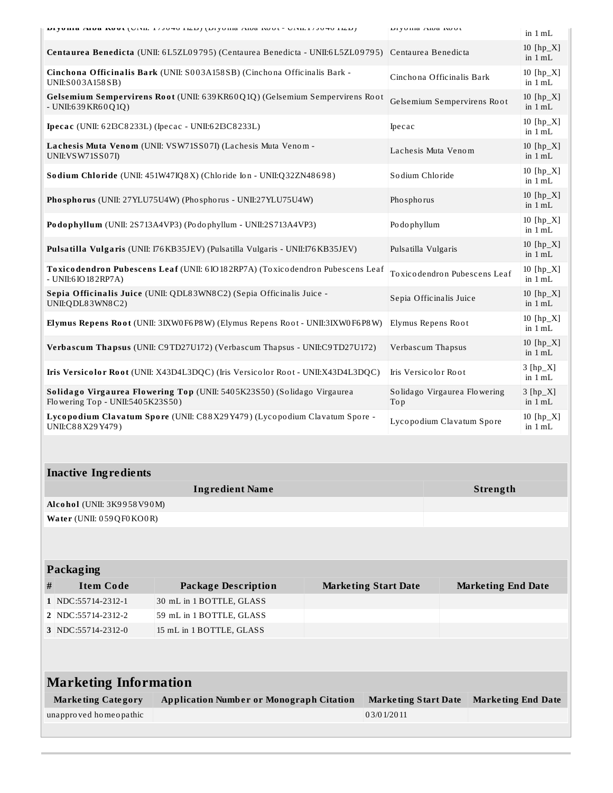| DIYUHIA AIDA KUUL (UNII, 17JU40 ILD) (DIYUHIA AIDA KUUL - UNII, 17JU40 ILD)                                 |                                                                                  |                             | Dryoma Alua Nout                    |                                                              | in 1 mL                     |
|-------------------------------------------------------------------------------------------------------------|----------------------------------------------------------------------------------|-----------------------------|-------------------------------------|--------------------------------------------------------------|-----------------------------|
| Centaurea Benedicta (UNII: 6L5ZL09795) (Centaurea Benedicta - UNII:6L5ZL09795)                              |                                                                                  |                             | Centaurea Benedicta                 |                                                              | $10$ [hp $X$ ]<br>in $1 mL$ |
| Cinchona Officinalis Bark (UNII: S003A158SB) (Cinchona Officinalis Bark -<br>UNII:S003A158SB)               |                                                                                  |                             |                                     | Cinchona Officinalis Bark                                    | 10 [hp_X]<br>in $1 mL$      |
| - UNII:639 KR60 Q1Q)                                                                                        | Gelsemium Sempervirens Root (UNII: 639KR60Q1Q) (Gelsemium Sempervirens Root      |                             | Gelsemium Sempervirens Root         |                                                              | 10 $[hp_X]$<br>in $1 mL$    |
|                                                                                                             | Ipecac (UNII: 62I3C8233L) (Ipecac - UNII:62I3C8233L)                             |                             | Ipecac                              |                                                              | 10 $[hp_X]$<br>in $1 mL$    |
| UNII: VSW71SS07I)                                                                                           | Lachesis Muta Venom (UNII: VSW71SS07I) (Lachesis Muta Venom -                    |                             | Lachesis Muta Venom                 |                                                              | 10 $[hp_X]$<br>in $1 mL$    |
|                                                                                                             | Sodium Chloride (UNII: 451W47IQ8X) (Chloride Ion - UNII:Q32ZN48698)              |                             | Sodium Chloride                     |                                                              | $10$ [hp_X]<br>in $1 mL$    |
|                                                                                                             | Phosphorus (UNII: 27YLU75U4W) (Phosphorus - UNII:27YLU75U4W)                     |                             | Phosphorus                          |                                                              | $10$ [hp_X]<br>in $1 mL$    |
|                                                                                                             | Podophyllum (UNII: 2S713A4VP3) (Podophyllum - UNII:2S713A4VP3)                   |                             |                                     | $10$ [hp_X]<br>Podophyllum                                   |                             |
|                                                                                                             | Pulsatilla Vulgaris (UNII: 176 KB35JEV) (Pulsatilla Vulgaris - UNII:176 KB35JEV) |                             |                                     | in $1 mL$<br>10 $[hp_X]$<br>Pulsatilla Vulgaris<br>in $1$ mL |                             |
| Toxicodendron Pubescens Leaf (UNII: 6IO182RP7A) (Toxicodendron Pubescens Leaf<br>- UNII:6 IO 18 2 RP7A)     |                                                                                  |                             |                                     | Toxicodendron Pubescens Leaf                                 | $10$ [hp_X]<br>in $1 mL$    |
| Sepia Officinalis Juice (UNII: QDL83WN8C2) (Sepia Officinalis Juice -<br>UNII:QDL83WN8C2)                   |                                                                                  |                             | Sepia Officinalis Juice             |                                                              | $10$ [hp_X]<br>in $1 mL$    |
| Elymus Repens Root (UNII: 3IXW0F6P8W) (Elymus Repens Root - UNII:3IXW0F6P8W)                                |                                                                                  |                             | Elymus Repens Root                  |                                                              | 10 [hp_X]<br>in $1 mL$      |
| Verbascum Thapsus (UNII: C9TD27U172) (Verbascum Thapsus - UNII:C9TD27U172)                                  |                                                                                  |                             | Verbascum Thapsus                   |                                                              | 10 $[hp_X]$<br>in $1 mL$    |
| Iris Versicolor Root (UNII: X43D4L3DQC) (Iris Versicolor Root - UNII:X43D4L3DQC)                            |                                                                                  |                             | Iris Versicolor Root                |                                                              | $3[hp_X]$<br>in 1 mL        |
| Solidago Virgaurea Flowering Top (UNII: 5405K23S50) (Solidago Virgaurea<br>Flowering Top - UNII:5405K23S50) |                                                                                  |                             | Solidago Virgaurea Flowering<br>Top |                                                              | $3 [hp_X]$<br>in $1 mL$     |
| Lycopodium Clavatum Spore (UNII: C88X29Y479) (Lycopodium Clavatum Spore -<br>UNII:C88X29Y479)               |                                                                                  |                             | Lycopodium Clavatum Spore           |                                                              | $10$ [hp_X]<br>in $1 mL$    |
|                                                                                                             |                                                                                  |                             |                                     |                                                              |                             |
| <b>Inactive Ingredients</b>                                                                                 |                                                                                  |                             |                                     |                                                              |                             |
|                                                                                                             | <b>Ingredient Name</b>                                                           |                             |                                     | Strength                                                     |                             |
| Alcohol (UNII: 3K9958V90M)                                                                                  |                                                                                  |                             |                                     |                                                              |                             |
| Water (UNII: 059QF0KO0R)                                                                                    |                                                                                  |                             |                                     |                                                              |                             |
|                                                                                                             |                                                                                  |                             |                                     |                                                              |                             |
| Packaging                                                                                                   |                                                                                  |                             |                                     |                                                              |                             |
| <b>Item Code</b><br>#                                                                                       | <b>Package Description</b>                                                       | <b>Marketing Start Date</b> |                                     | <b>Marketing End Date</b>                                    |                             |
| 1 NDC:55714-2312-1                                                                                          | 30 mL in 1 BOTTLE, GLASS                                                         |                             |                                     |                                                              |                             |
| 2 NDC:55714-2312-2                                                                                          | 59 mL in 1 BOTTLE, GLASS                                                         |                             |                                     |                                                              |                             |
| 3 NDC:55714-2312-0                                                                                          | 15 mL in 1 BOTTLE, GLASS                                                         |                             |                                     |                                                              |                             |
|                                                                                                             |                                                                                  |                             |                                     |                                                              |                             |
|                                                                                                             |                                                                                  |                             |                                     |                                                              |                             |
| <b>Marketing Information</b>                                                                                |                                                                                  |                             |                                     |                                                              |                             |

| <b>Marketing Category</b> | <b>Application Number or Monograph Citation</b> | Marketing Start Date Marketing End Date |  |
|---------------------------|-------------------------------------------------|-----------------------------------------|--|
| unapproved homeopathic    |                                                 | 03/01/2011                              |  |
|                           |                                                 |                                         |  |